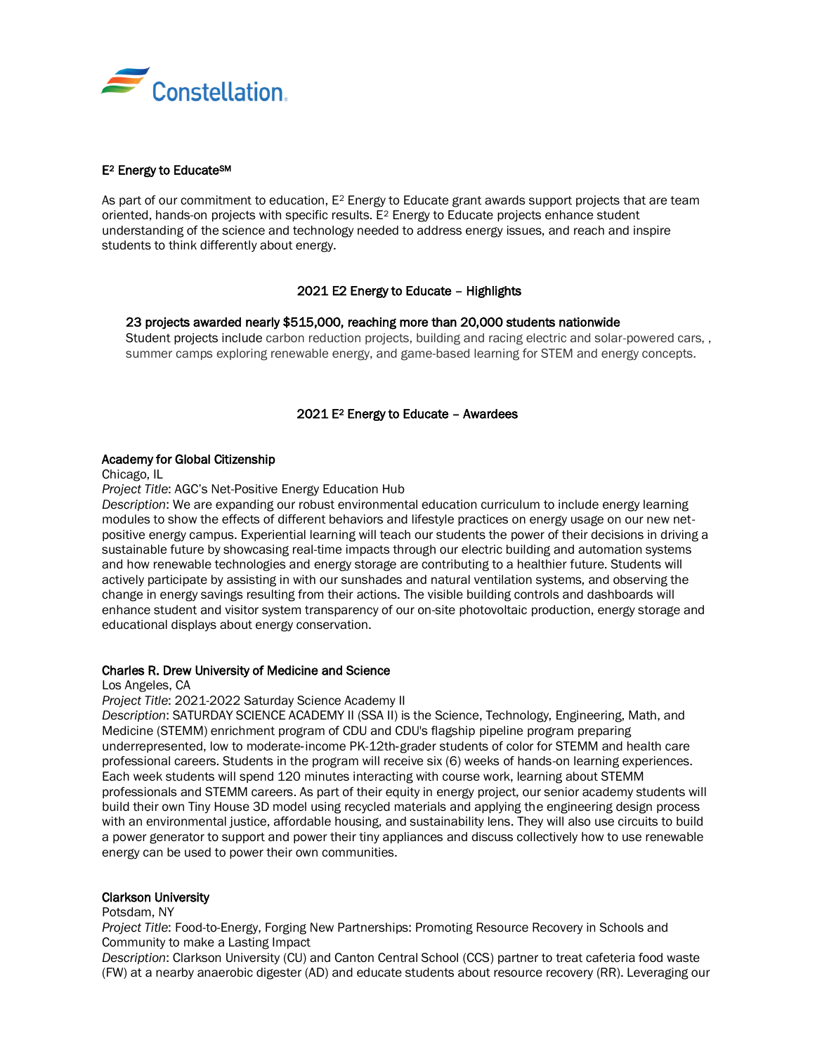

# E2 Energy to EducateSM

As part of our commitment to education,  $E^2$  Energy to Educate grant awards support projects that are team oriented, hands-on projects with specific results. E<sup>2</sup> Energy to Educate projects enhance student understanding of the science and technology needed to address energy issues, and reach and inspire students to think differently about energy.

# 2021 E2 Energy to Educate – Highlights

# • 23 projects awarded nearly \$515,000, reaching more than 20,000 students nationwide

• Student projects include carbon reduction projects, building and racing electric and solar-powered cars, , summer camps exploring renewable energy, and game-based learning for STEM and energy concepts.

# 2021 E2 Energy to Educate – Awardees

### Academy for Global Citizenship

Chicago, IL

*Project Title*: AGC's Net-Positive Energy Education Hub

*Description*: We are expanding our robust environmental education curriculum to include energy learning modules to show the effects of different behaviors and lifestyle practices on energy usage on our new netpositive energy campus. Experiential learning will teach our students the power of their decisions in driving a sustainable future by showcasing real-time impacts through our electric building and automation systems and how renewable technologies and energy storage are contributing to a healthier future. Students will actively participate by assisting in with our sunshades and natural ventilation systems, and observing the change in energy savings resulting from their actions. The visible building controls and dashboards will enhance student and visitor system transparency of our on-site photovoltaic production, energy storage and educational displays about energy conservation.

### Charles R. Drew University of Medicine and Science

Los Angeles, CA

*Project Title*: 2021-2022 Saturday Science Academy II

*Description*: SATURDAY SCIENCE ACADEMY II (SSA II) is the Science, Technology, Engineering, Math, and Medicine (STEMM) enrichment program of CDU and CDU's flagship pipeline program preparing underrepresented, low to moderate‐income PK-12th‐grader students of color for STEMM and health care professional careers. Students in the program will receive six (6) weeks of hands-on learning experiences. Each week students will spend 120 minutes interacting with course work, learning about STEMM professionals and STEMM careers. As part of their equity in energy project, our senior academy students will build their own Tiny House 3D model using recycled materials and applying the engineering design process with an environmental justice, affordable housing, and sustainability lens. They will also use circuits to build a power generator to support and power their tiny appliances and discuss collectively how to use renewable energy can be used to power their own communities.

### Clarkson University

Potsdam, NY

*Project Title*: Food-to-Energy, Forging New Partnerships: Promoting Resource Recovery in Schools and Community to make a Lasting Impact

*Description*: Clarkson University (CU) and Canton Central School (CCS) partner to treat cafeteria food waste (FW) at a nearby anaerobic digester (AD) and educate students about resource recovery (RR). Leveraging our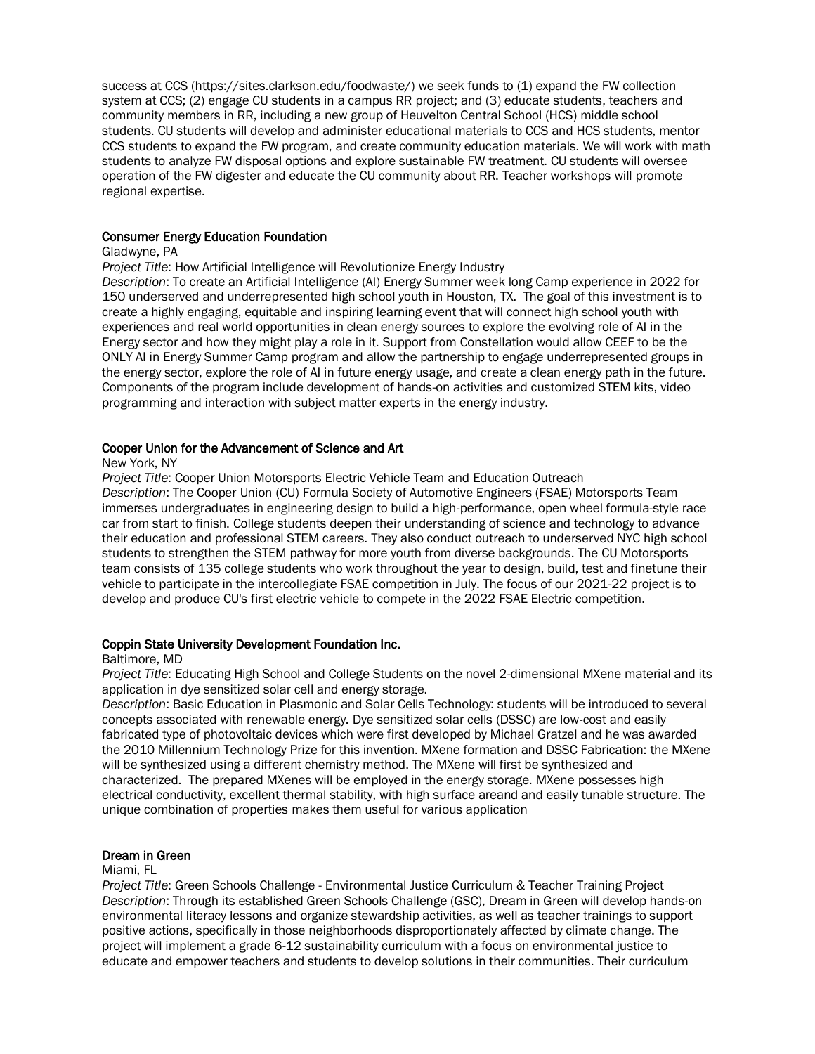success at CCS (https://sites.clarkson.edu/foodwaste/) we seek funds to (1) expand the FW collection system at CCS; (2) engage CU students in a campus RR project; and (3) educate students, teachers and community members in RR, including a new group of Heuvelton Central School (HCS) middle school students. CU students will develop and administer educational materials to CCS and HCS students, mentor CCS students to expand the FW program, and create community education materials. We will work with math students to analyze FW disposal options and explore sustainable FW treatment. CU students will oversee operation of the FW digester and educate the CU community about RR. Teacher workshops will promote regional expertise.

### Consumer Energy Education Foundation

### Gladwyne, PA

*Project Title*: How Artificial Intelligence will Revolutionize Energy Industry

*Description*: To create an Artificial Intelligence (AI) Energy Summer week long Camp experience in 2022 for 150 underserved and underrepresented high school youth in Houston, TX. The goal of this investment is to create a highly engaging, equitable and inspiring learning event that will connect high school youth with experiences and real world opportunities in clean energy sources to explore the evolving role of AI in the Energy sector and how they might play a role in it. Support from Constellation would allow CEEF to be the ONLY AI in Energy Summer Camp program and allow the partnership to engage underrepresented groups in the energy sector, explore the role of AI in future energy usage, and create a clean energy path in the future. Components of the program include development of hands-on activities and customized STEM kits, video programming and interaction with subject matter experts in the energy industry.

# Cooper Union for the Advancement of Science and Art

#### New York, NY

*Project Title*: Cooper Union Motorsports Electric Vehicle Team and Education Outreach *Description*: The Cooper Union (CU) Formula Society of Automotive Engineers (FSAE) Motorsports Team immerses undergraduates in engineering design to build a high-performance, open wheel formula-style race car from start to finish. College students deepen their understanding of science and technology to advance their education and professional STEM careers. They also conduct outreach to underserved NYC high school students to strengthen the STEM pathway for more youth from diverse backgrounds. The CU Motorsports team consists of 135 college students who work throughout the year to design, build, test and finetune their vehicle to participate in the intercollegiate FSAE competition in July. The focus of our 2021-22 project is to develop and produce CU's first electric vehicle to compete in the 2022 FSAE Electric competition.

## Coppin State University Development Foundation Inc.

### Baltimore, MD

*Project Title*: Educating High School and College Students on the novel 2-dimensional MXene material and its application in dye sensitized solar cell and energy storage.

*Description*: Basic Education in Plasmonic and Solar Cells Technology: students will be introduced to several concepts associated with renewable energy. Dye sensitized solar cells (DSSC) are low-cost and easily fabricated type of photovoltaic devices which were first developed by Michael Gratzel and he was awarded the 2010 Millennium Technology Prize for this invention. MXene formation and DSSC Fabrication: the MXene will be synthesized using a different chemistry method. The MXene will first be synthesized and characterized. The prepared MXenes will be employed in the energy storage. MXene possesses high electrical conductivity, excellent thermal stability, with high surface areand and easily tunable structure. The unique combination of properties makes them useful for various application

# Dream in Green

#### Miami, FL

*Project Title*: Green Schools Challenge - Environmental Justice Curriculum & Teacher Training Project *Description*: Through its established Green Schools Challenge (GSC), Dream in Green will develop hands-on environmental literacy lessons and organize stewardship activities, as well as teacher trainings to support positive actions, specifically in those neighborhoods disproportionately affected by climate change. The project will implement a grade 6-12 sustainability curriculum with a focus on environmental justice to educate and empower teachers and students to develop solutions in their communities. Their curriculum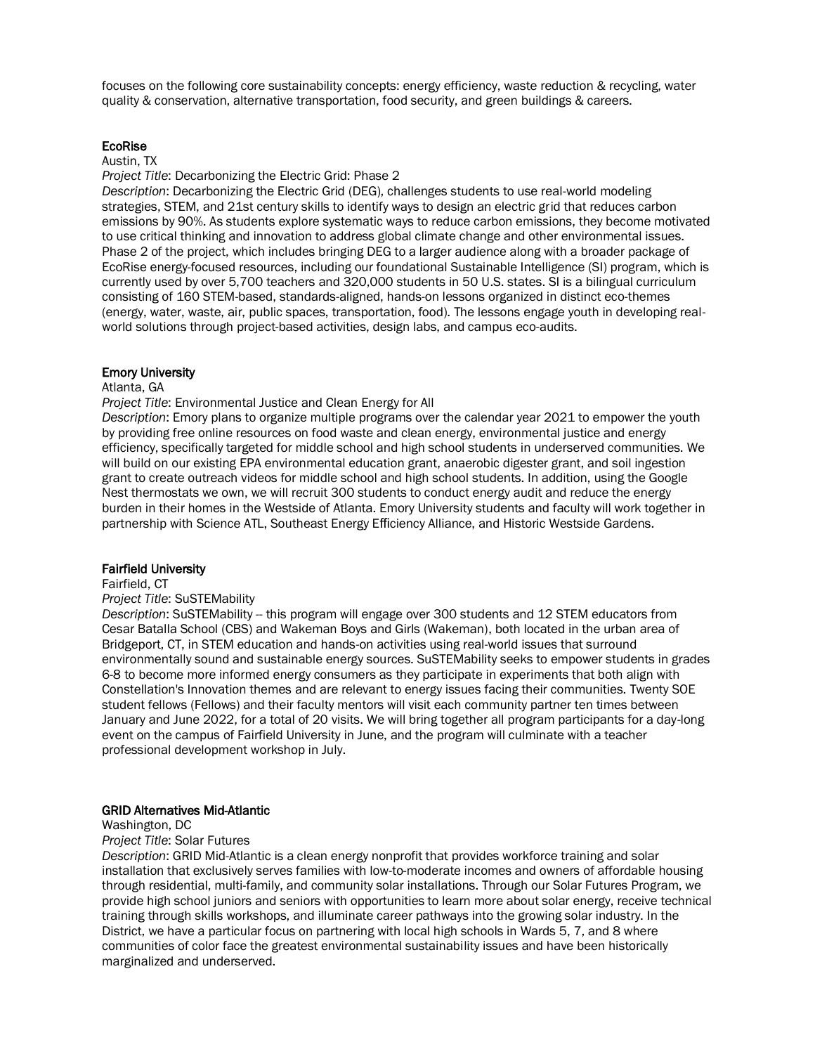focuses on the following core sustainability concepts: energy efficiency, waste reduction & recycling, water quality & conservation, alternative transportation, food security, and green buildings & careers.

## EcoRise

#### Austin, TX

*Project Title*: Decarbonizing the Electric Grid: Phase 2

*Description*: Decarbonizing the Electric Grid (DEG), challenges students to use real-world modeling strategies, STEM, and 21st century skills to identify ways to design an electric grid that reduces carbon emissions by 90%. As students explore systematic ways to reduce carbon emissions, they become motivated to use critical thinking and innovation to address global climate change and other environmental issues. Phase 2 of the project, which includes bringing DEG to a larger audience along with a broader package of EcoRise energy-focused resources, including our foundational Sustainable Intelligence (SI) program, which is currently used by over 5,700 teachers and 320,000 students in 50 U.S. states. SI is a bilingual curriculum consisting of 160 STEM-based, standards-aligned, hands-on lessons organized in distinct eco-themes (energy, water, waste, air, public spaces, transportation, food). The lessons engage youth in developing realworld solutions through project-based activities, design labs, and campus eco-audits.

# Emory University

# Atlanta, GA

### *Project Title*: Environmental Justice and Clean Energy for All

*Description*: Emory plans to organize multiple programs over the calendar year 2021 to empower the youth by providing free online resources on food waste and clean energy, environmental justice and energy efficiency, specifically targeted for middle school and high school students in underserved communities. We will build on our existing EPA environmental education grant, anaerobic digester grant, and soil ingestion grant to create outreach videos for middle school and high school students. In addition, using the Google Nest thermostats we own, we will recruit 300 students to conduct energy audit and reduce the energy burden in their homes in the Westside of Atlanta. Emory University students and faculty will work together in partnership with Science ATL, Southeast Energy Efficiency Alliance, and Historic Westside Gardens.

### Fairfield University

#### Fairfield, CT

#### *Project Title*: SuSTEMability

*Description*: SuSTEMability -- this program will engage over 300 students and 12 STEM educators from Cesar Batalla School (CBS) and Wakeman Boys and Girls (Wakeman), both located in the urban area of Bridgeport, CT, in STEM education and hands-on activities using real-world issues that surround environmentally sound and sustainable energy sources. SuSTEMability seeks to empower students in grades 6-8 to become more informed energy consumers as they participate in experiments that both align with Constellation's Innovation themes and are relevant to energy issues facing their communities. Twenty SOE student fellows (Fellows) and their faculty mentors will visit each community partner ten times between January and June 2022, for a total of 20 visits. We will bring together all program participants for a day-long event on the campus of Fairfield University in June, and the program will culminate with a teacher professional development workshop in July.

### GRID Alternatives Mid-Atlantic

#### Washington, DC

#### *Project Title*: Solar Futures

*Description*: GRID Mid-Atlantic is a clean energy nonprofit that provides workforce training and solar installation that exclusively serves families with low-to-moderate incomes and owners of affordable housing through residential, multi-family, and community solar installations. Through our Solar Futures Program, we provide high school juniors and seniors with opportunities to learn more about solar energy, receive technical training through skills workshops, and illuminate career pathways into the growing solar industry. In the District, we have a particular focus on partnering with local high schools in Wards 5, 7, and 8 where communities of color face the greatest environmental sustainability issues and have been historically marginalized and underserved.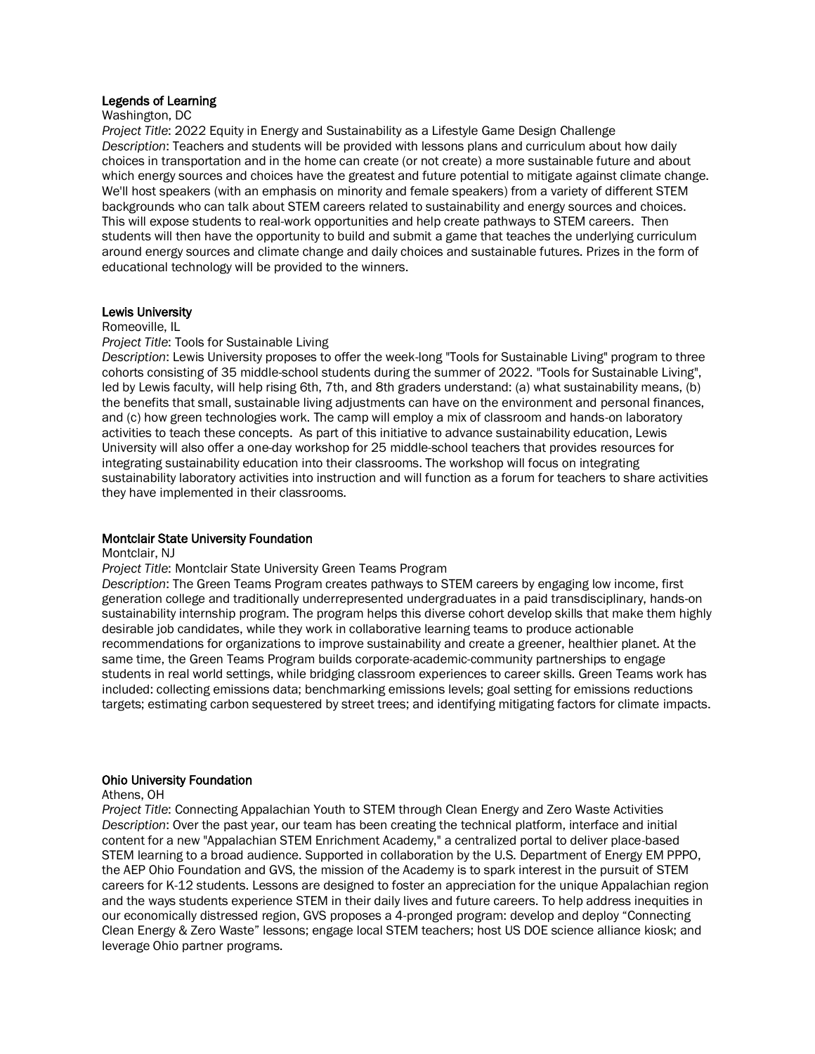# Legends of Learning

#### Washington, DC

*Project Title*: 2022 Equity in Energy and Sustainability as a Lifestyle Game Design Challenge *Description*: Teachers and students will be provided with lessons plans and curriculum about how daily choices in transportation and in the home can create (or not create) a more sustainable future and about which energy sources and choices have the greatest and future potential to mitigate against climate change. We'll host speakers (with an emphasis on minority and female speakers) from a variety of different STEM backgrounds who can talk about STEM careers related to sustainability and energy sources and choices. This will expose students to real-work opportunities and help create pathways to STEM careers. Then students will then have the opportunity to build and submit a game that teaches the underlying curriculum around energy sources and climate change and daily choices and sustainable futures. Prizes in the form of educational technology will be provided to the winners.

### Lewis University

#### Romeoville, IL

#### *Project Title*: Tools for Sustainable Living

*Description*: Lewis University proposes to offer the week-long "Tools for Sustainable Living" program to three cohorts consisting of 35 middle-school students during the summer of 2022. "Tools for Sustainable Living", led by Lewis faculty, will help rising 6th, 7th, and 8th graders understand: (a) what sustainability means, (b) the benefits that small, sustainable living adjustments can have on the environment and personal finances, and (c) how green technologies work. The camp will employ a mix of classroom and hands-on laboratory activities to teach these concepts. As part of this initiative to advance sustainability education, Lewis University will also offer a one-day workshop for 25 middle-school teachers that provides resources for integrating sustainability education into their classrooms. The workshop will focus on integrating sustainability laboratory activities into instruction and will function as a forum for teachers to share activities they have implemented in their classrooms.

#### Montclair State University Foundation

#### Montclair, NJ

*Project Title*: Montclair State University Green Teams Program

*Description*: The Green Teams Program creates pathways to STEM careers by engaging low income, first generation college and traditionally underrepresented undergraduates in a paid transdisciplinary, hands-on sustainability internship program. The program helps this diverse cohort develop skills that make them highly desirable job candidates, while they work in collaborative learning teams to produce actionable recommendations for organizations to improve sustainability and create a greener, healthier planet. At the same time, the Green Teams Program builds corporate-academic-community partnerships to engage students in real world settings, while bridging classroom experiences to career skills. Green Teams work has included: collecting emissions data; benchmarking emissions levels; goal setting for emissions reductions targets; estimating carbon sequestered by street trees; and identifying mitigating factors for climate impacts.

#### Ohio University Foundation

#### Athens, OH

*Project Title*: Connecting Appalachian Youth to STEM through Clean Energy and Zero Waste Activities *Description*: Over the past year, our team has been creating the technical platform, interface and initial content for a new "Appalachian STEM Enrichment Academy," a centralized portal to deliver place-based STEM learning to a broad audience. Supported in collaboration by the U.S. Department of Energy EM PPPO, the AEP Ohio Foundation and GVS, the mission of the Academy is to spark interest in the pursuit of STEM careers for K-12 students. Lessons are designed to foster an appreciation for the unique Appalachian region and the ways students experience STEM in their daily lives and future careers. To help address inequities in our economically distressed region, GVS proposes a 4-pronged program: develop and deploy "Connecting Clean Energy & Zero Waste" lessons; engage local STEM teachers; host US DOE science alliance kiosk; and leverage Ohio partner programs.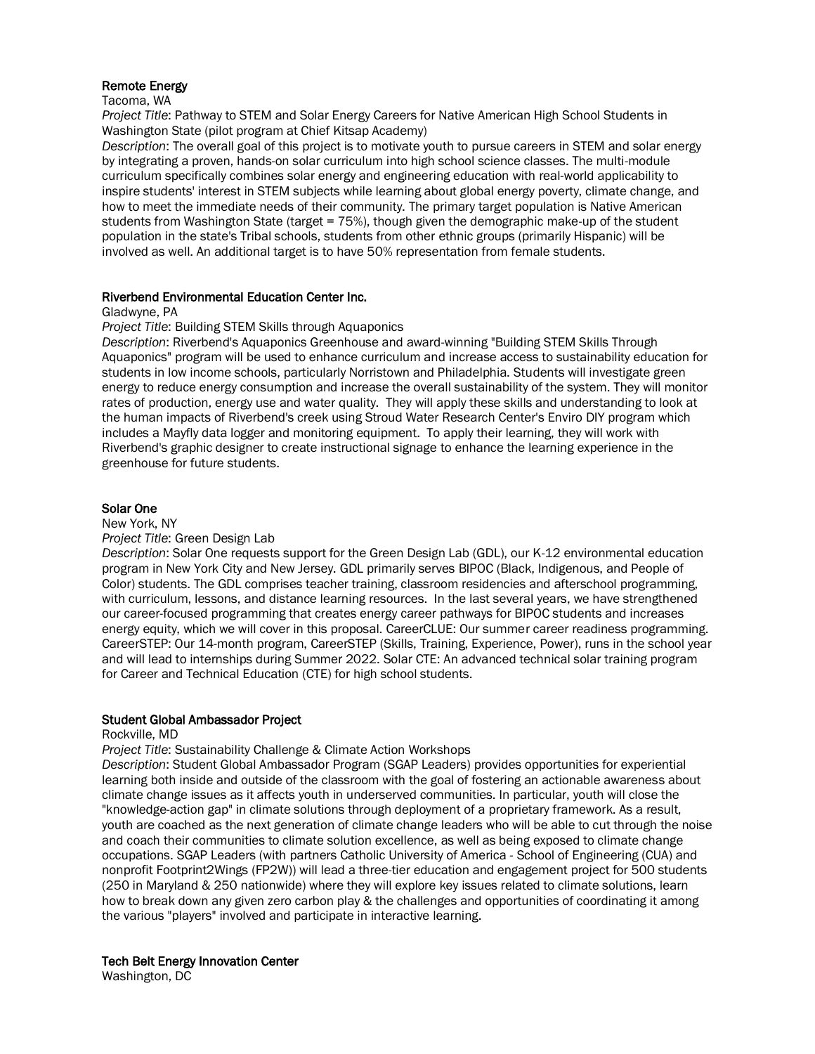## Remote Energy

#### Tacoma, WA

*Project Title*: Pathway to STEM and Solar Energy Careers for Native American High School Students in Washington State (pilot program at Chief Kitsap Academy)

*Description*: The overall goal of this project is to motivate youth to pursue careers in STEM and solar energy by integrating a proven, hands-on solar curriculum into high school science classes. The multi-module curriculum specifically combines solar energy and engineering education with real-world applicability to inspire students' interest in STEM subjects while learning about global energy poverty, climate change, and how to meet the immediate needs of their community. The primary target population is Native American students from Washington State (target = 75%), though given the demographic make-up of the student population in the state's Tribal schools, students from other ethnic groups (primarily Hispanic) will be involved as well. An additional target is to have 50% representation from female students.

# Riverbend Environmental Education Center Inc.

Gladwyne, PA

### *Project Title*: Building STEM Skills through Aquaponics

*Description*: Riverbend's Aquaponics Greenhouse and award-winning "Building STEM Skills Through Aquaponics" program will be used to enhance curriculum and increase access to sustainability education for students in low income schools, particularly Norristown and Philadelphia. Students will investigate green energy to reduce energy consumption and increase the overall sustainability of the system. They will monitor rates of production, energy use and water quality. They will apply these skills and understanding to look at the human impacts of Riverbend's creek using Stroud Water Research Center's Enviro DIY program which includes a Mayfly data logger and monitoring equipment. To apply their learning, they will work with Riverbend's graphic designer to create instructional signage to enhance the learning experience in the greenhouse for future students.

### Solar One

New York, NY

### *Project Title*: Green Design Lab

*Description*: Solar One requests support for the Green Design Lab (GDL), our K-12 environmental education program in New York City and New Jersey. GDL primarily serves BIPOC (Black, Indigenous, and People of Color) students. The GDL comprises teacher training, classroom residencies and afterschool programming, with curriculum, lessons, and distance learning resources. In the last several years, we have strengthened our career-focused programming that creates energy career pathways for BIPOC students and increases energy equity, which we will cover in this proposal. CareerCLUE: Our summer career readiness programming. CareerSTEP: Our 14-month program, CareerSTEP (Skills, Training, Experience, Power), runs in the school year and will lead to internships during Summer 2022. Solar CTE: An advanced technical solar training program for Career and Technical Education (CTE) for high school students.

# Student Global Ambassador Project

Rockville, MD

### *Project Title*: Sustainability Challenge & Climate Action Workshops

*Description*: Student Global Ambassador Program (SGAP Leaders) provides opportunities for experiential learning both inside and outside of the classroom with the goal of fostering an actionable awareness about climate change issues as it affects youth in underserved communities. In particular, youth will close the "knowledge-action gap" in climate solutions through deployment of a proprietary framework. As a result, youth are coached as the next generation of climate change leaders who will be able to cut through the noise and coach their communities to climate solution excellence, as well as being exposed to climate change occupations. SGAP Leaders (with partners Catholic University of America - School of Engineering (CUA) and nonprofit Footprint2Wings (FP2W)) will lead a three-tier education and engagement project for 500 students (250 in Maryland & 250 nationwide) where they will explore key issues related to climate solutions, learn how to break down any given zero carbon play & the challenges and opportunities of coordinating it among the various "players" involved and participate in interactive learning.

# Tech Belt Energy Innovation Center

Washington, DC